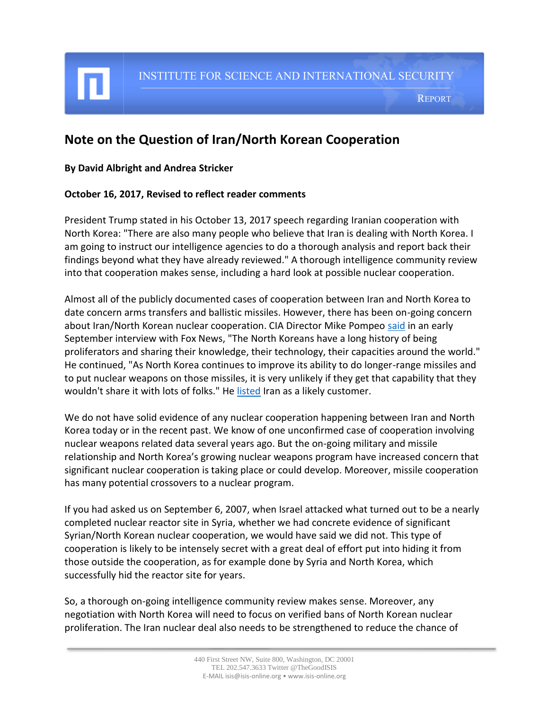INSTITUTE FOR SCIENCE AND INTERNATIONAL SECURITY

REPORT

## **Note on the Question of Iran/North Korean Cooperation**

## **By David Albright and Andrea Stricker**

## **October 16, 2017, Revised to reflect reader comments**

President Trump stated in his October 13, 2017 speech regarding Iranian cooperation with North Korea: "There are also many people who believe that Iran is dealing with North Korea. I am going to instruct our intelligence agencies to do a thorough analysis and report back their findings beyond what they have already reviewed." A thorough intelligence community review into that cooperation makes sense, including a hard look at possible nuclear cooperation.

Almost all of the publicly documented cases of cooperation between Iran and North Korea to date concern arms transfers and ballistic missiles. However, there has been on-going concern about Iran/North Korean nuclear cooperation. CIA Director Mike Pompeo [said](http://www.foxnews.com/politics/2017/09/23/trump-says-iran-working-with-north-korea-after-ballistic-missile-test.html) in an early September interview with Fox News, "The North Koreans have a long history of being proliferators and sharing their knowledge, their technology, their capacities around the world." He continued, "As North Korea continues to improve its ability to do longer-range missiles and to put nuclear weapons on those missiles, it is very unlikely if they get that capability that they wouldn't share it with lots of folks." He [listed](http://video.foxnews.com/v/5572650821001/?#sp=show-clips) Iran as a likely customer.

We do not have solid evidence of any nuclear cooperation happening between Iran and North Korea today or in the recent past. We know of one unconfirmed case of cooperation involving nuclear weapons related data several years ago. But the on-going military and missile relationship and North Korea's growing nuclear weapons program have increased concern that significant nuclear cooperation is taking place or could develop. Moreover, missile cooperation has many potential crossovers to a nuclear program.

If you had asked us on September 6, 2007, when Israel attacked what turned out to be a nearly completed nuclear reactor site in Syria, whether we had concrete evidence of significant Syrian/North Korean nuclear cooperation, we would have said we did not. This type of cooperation is likely to be intensely secret with a great deal of effort put into hiding it from those outside the cooperation, as for example done by Syria and North Korea, which successfully hid the reactor site for years.

So, a thorough on-going intelligence community review makes sense. Moreover, any negotiation with North Korea will need to focus on verified bans of North Korean nuclear proliferation. The Iran nuclear deal also needs to be strengthened to reduce the chance of